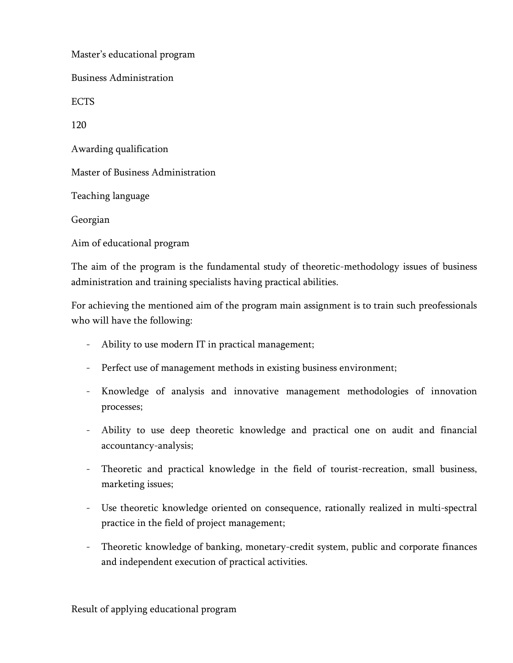Master's educational program Business Administration

ECTS

120

Awarding qualification

Master of Business Administration

Teaching language

Georgian

Aim of educational program

The aim of the program is the fundamental study of theoretic-methodology issues of business administration and training specialists having practical abilities.

For achieving the mentioned aim of the program main assignment is to train such preofessionals who will have the following:

- Ability to use modern IT in practical management;
- Perfect use of management methods in existing business environment;
- Knowledge of analysis and innovative management methodologies of innovation processes;
- Ability to use deep theoretic knowledge and practical one on audit and financial accountancy-analysis;
- Theoretic and practical knowledge in the field of tourist-recreation, small business, marketing issues;
- Use theoretic knowledge oriented on consequence, rationally realized in multi-spectral practice in the field of project management;
- Theoretic knowledge of banking, monetary-credit system, public and corporate finances and independent execution of practical activities.

Result of applying educational program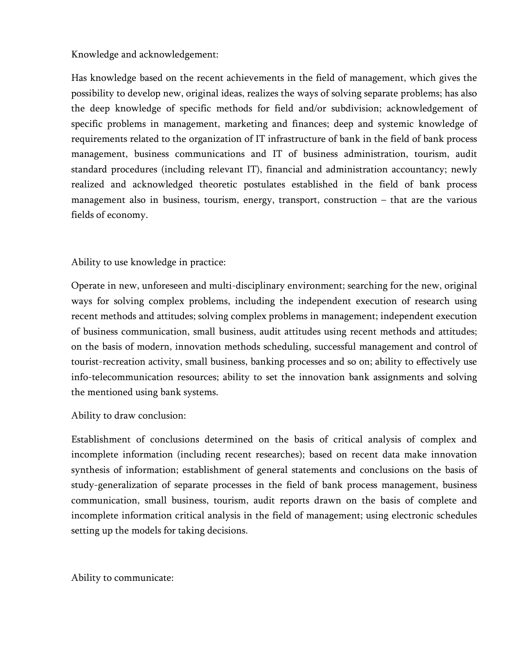Knowledge and acknowledgement:

Has knowledge based on the recent achievements in the field of management, which gives the possibility to develop new, original ideas, realizes the ways of solving separate problems; has also the deep knowledge of specific methods for field and/or subdivision; acknowledgement of specific problems in management, marketing and finances; deep and systemic knowledge of requirements related to the organization of IT infrastructure of bank in the field of bank process management, business communications and IT of business administration, tourism, audit standard procedures (including relevant IT), financial and administration accountancy; newly realized and acknowledged theoretic postulates established in the field of bank process management also in business, tourism, energy, transport, construction – that are the various fields of economy.

Ability to use knowledge in practice:

Operate in new, unforeseen and multi-disciplinary environment; searching for the new, original ways for solving complex problems, including the independent execution of research using recent methods and attitudes; solving complex problems in management; independent execution of business communication, small business, audit attitudes using recent methods and attitudes; on the basis of modern, innovation methods scheduling, successful management and control of tourist-recreation activity, small business, banking processes and so on; ability to effectively use info-telecommunication resources; ability to set the innovation bank assignments and solving the mentioned using bank systems.

Ability to draw conclusion:

Establishment of conclusions determined on the basis of critical analysis of complex and incomplete information (including recent researches); based on recent data make innovation synthesis of information; establishment of general statements and conclusions on the basis of study-generalization of separate processes in the field of bank process management, business communication, small business, tourism, audit reports drawn on the basis of complete and incomplete information critical analysis in the field of management; using electronic schedules setting up the models for taking decisions.

Ability to communicate: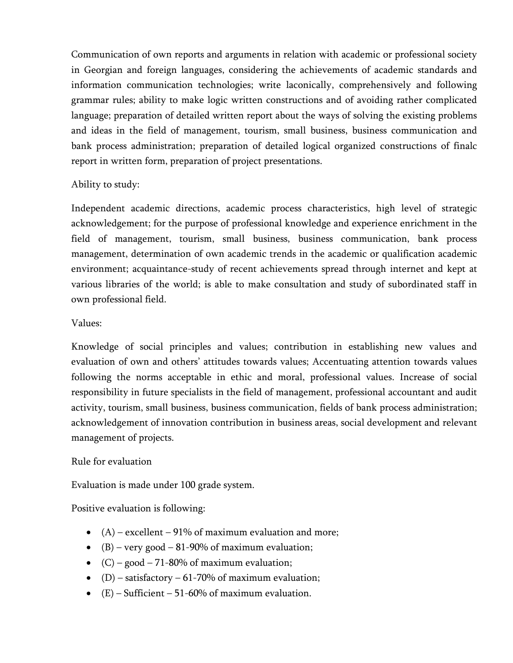Communication of own reports and arguments in relation with academic or professional society in Georgian and foreign languages, considering the achievements of academic standards and information communication technologies; write laconically, comprehensively and following grammar rules; ability to make logic written constructions and of avoiding rather complicated language; preparation of detailed written report about the ways of solving the existing problems and ideas in the field of management, tourism, small business, business communication and bank process administration; preparation of detailed logical organized constructions of finalc report in written form, preparation of project presentations.

## Ability to study:

Independent academic directions, academic process characteristics, high level of strategic acknowledgement; for the purpose of professional knowledge and experience enrichment in the field of management, tourism, small business, business communication, bank process management, determination of own academic trends in the academic or qualification academic environment; acquaintance-study of recent achievements spread through internet and kept at various libraries of the world; is able to make consultation and study of subordinated staff in own professional field.

## Values:

Knowledge of social principles and values; contribution in establishing new values and evaluation of own and others' attitudes towards values; Accentuating attention towards values following the norms acceptable in ethic and moral, professional values. Increase of social responsibility in future specialists in the field of management, professional accountant and audit activity, tourism, small business, business communication, fields of bank process administration; acknowledgement of innovation contribution in business areas, social development and relevant management of projects.

## Rule for evaluation

Evaluation is made under 100 grade system.

Positive evaluation is following:

- $(A)$  excellent 91% of maximum evaluation and more;
- (B) very good 81-90% of maximum evaluation;
- $(C)$  good 71-80% of maximum evaluation;
- (D) satisfactory 61-70% of maximum evaluation;
- $(E)$  Sufficient 51-60% of maximum evaluation.